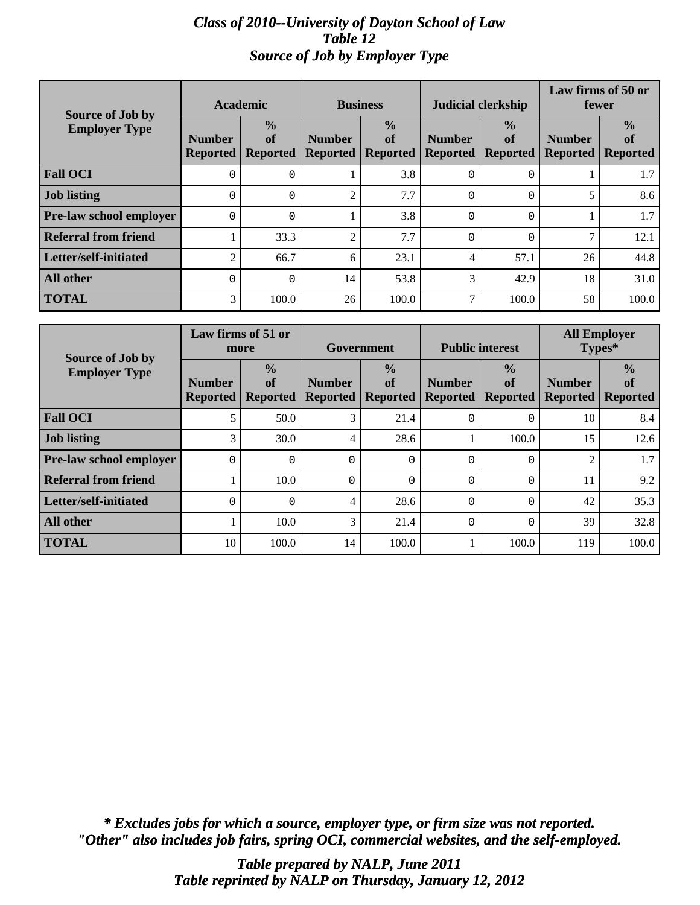# *Class of 2010--University of Dayton School of Law Table 12 Source of Job by Employer Type*

| Source of Job by<br><b>Employer Type</b> | <b>Academic</b>                  |                                        | <b>Business</b>                  |                                 | <b>Judicial clerkship</b>        |                                        | Law firms of 50 or<br>fewer      |                                        |
|------------------------------------------|----------------------------------|----------------------------------------|----------------------------------|---------------------------------|----------------------------------|----------------------------------------|----------------------------------|----------------------------------------|
|                                          | <b>Number</b><br><b>Reported</b> | $\frac{0}{0}$<br>of<br><b>Reported</b> | <b>Number</b><br><b>Reported</b> | $\frac{0}{0}$<br>of<br>Reported | <b>Number</b><br><b>Reported</b> | $\frac{0}{0}$<br>of<br><b>Reported</b> | <b>Number</b><br><b>Reported</b> | $\frac{0}{0}$<br>of<br><b>Reported</b> |
| <b>Fall OCI</b>                          | $\Omega$                         | 0                                      |                                  | 3.8                             | $\Omega$                         | 0                                      |                                  | 1.7                                    |
| <b>Job listing</b>                       | $\Omega$                         | 0                                      | $\mathcal{D}$                    | 7.7                             | $\Omega$                         | $\Omega$                               | 5                                | 8.6                                    |
| <b>Pre-law school employer</b>           | $\Omega$                         | 0                                      |                                  | 3.8                             | $\Omega$                         | $\Omega$                               |                                  | 1.7                                    |
| <b>Referral from friend</b>              |                                  | 33.3                                   | $\mathcal{D}$                    | 7.7                             | $\Omega$                         | $\Omega$                               | 7                                | 12.1                                   |
| Letter/self-initiated                    | $\overline{c}$                   | 66.7                                   | 6                                | 23.1                            | 4                                | 57.1                                   | 26                               | 44.8                                   |
| <b>All other</b>                         | $\Omega$                         | $\Omega$                               | 14                               | 53.8                            | 3                                | 42.9                                   | 18                               | 31.0                                   |
| <b>TOTAL</b>                             | 3                                | 100.0                                  | 26                               | 100.0                           | ⇁                                | 100.0                                  | 58                               | 100.0                                  |

| <b>Source of Job by</b>        | Law firms of 51 or<br>more       |                                        | Government                       |                                        | <b>Public interest</b>           |                                        | <b>All Employer</b><br>Types*    |                                        |
|--------------------------------|----------------------------------|----------------------------------------|----------------------------------|----------------------------------------|----------------------------------|----------------------------------------|----------------------------------|----------------------------------------|
| <b>Employer Type</b>           | <b>Number</b><br><b>Reported</b> | $\frac{0}{0}$<br>of<br><b>Reported</b> | <b>Number</b><br><b>Reported</b> | $\frac{0}{0}$<br>of<br><b>Reported</b> | <b>Number</b><br><b>Reported</b> | $\frac{0}{0}$<br>of<br><b>Reported</b> | <b>Number</b><br><b>Reported</b> | $\frac{0}{0}$<br>of<br><b>Reported</b> |
| <b>Fall OCI</b>                | 5                                | 50.0                                   | 3                                | 21.4                                   | 0                                | $\Omega$                               | 10                               | 8.4                                    |
| <b>Job listing</b>             | 3                                | 30.0                                   | $\overline{4}$                   | 28.6                                   | 1                                | 100.0                                  | 15                               | 12.6                                   |
| <b>Pre-law school employer</b> | 0                                | $\Omega$                               | $\Omega$                         | O                                      | 0                                | $\Omega$                               | $\overline{2}$                   | 1.7                                    |
| <b>Referral from friend</b>    |                                  | 10.0                                   | $\Omega$                         | O                                      | 0                                | $\Omega$                               | 11                               | 9.2                                    |
| Letter/self-initiated          | $\Omega$                         | $\Omega$                               | 4                                | 28.6                                   | $\Omega$                         | $\Omega$                               | 42                               | 35.3                                   |
| <b>All other</b>               |                                  | 10.0                                   | 3                                | 21.4                                   | 0                                | $\Omega$                               | 39                               | 32.8                                   |
| <b>TOTAL</b>                   | 10                               | 100.0                                  | 14                               | 100.0                                  |                                  | 100.0                                  | 119                              | 100.0                                  |

*"Other" also includes job fairs, spring OCI, commercial websites, and the self-employed. \* Excludes jobs for which a source, employer type, or firm size was not reported.*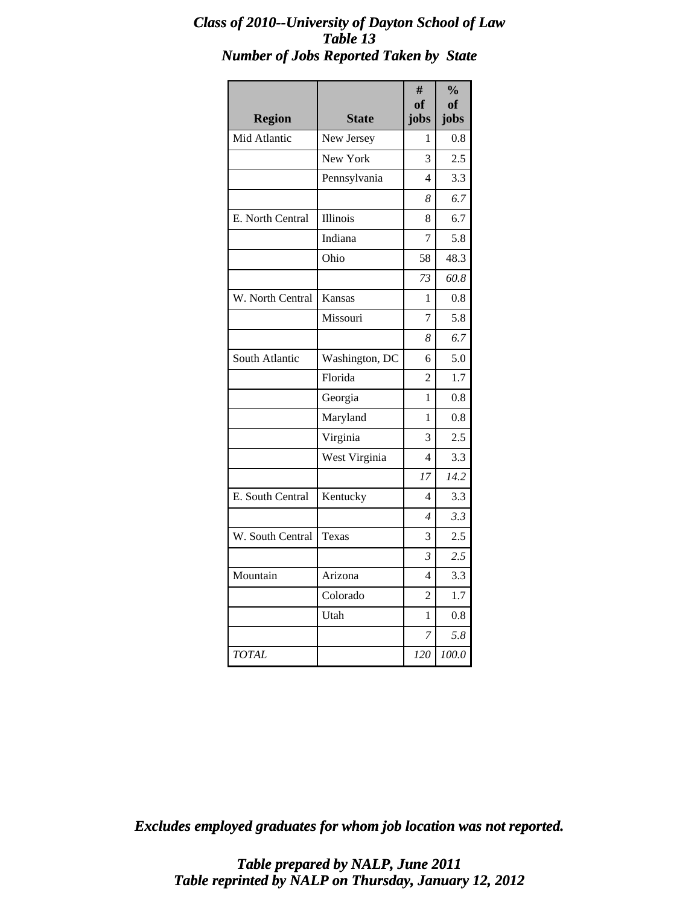# *Class of 2010--University of Dayton School of Law Table 13 Number of Jobs Reported Taken by State*

| <b>Region</b>    | <b>State</b>   | #<br>of<br>jobs | $\frac{0}{0}$<br>of<br>jobs |
|------------------|----------------|-----------------|-----------------------------|
| Mid Atlantic     | New Jersey     | 1               | 0.8                         |
|                  | New York       | 3               | 2.5                         |
|                  | Pennsylvania   | 4               | 3.3                         |
|                  |                | 8               | 6.7                         |
| E. North Central | Illinois       | 8               | 6.7                         |
|                  | Indiana        | 7               | 5.8                         |
|                  | Ohio           | 58              | 48.3                        |
|                  |                | 73              | 60.8                        |
| W. North Central | Kansas         | 1               | 0.8                         |
|                  | Missouri       | 7               | 5.8                         |
|                  |                | 8               | 6.7                         |
| South Atlantic   | Washington, DC | 6               | 5.0                         |
|                  | Florida        | $\overline{2}$  | 1.7                         |
|                  | Georgia        | 1               | 0.8                         |
|                  | Maryland       | 1               | 0.8                         |
|                  | Virginia       | 3               | 2.5                         |
|                  | West Virginia  | 4               | 3.3                         |
|                  |                | 17              | 14.2                        |
| E. South Central | Kentucky       | 4               | 3.3                         |
|                  |                | $\overline{4}$  | 3.3                         |
| W. South Central | Texas          | 3               | 2.5                         |
|                  |                | 3               | 2.5                         |
| Mountain         | Arizona        | 4               | 3.3                         |
|                  | Colorado       | 2               | 1.7                         |
|                  | Utah           | 1               | 0.8                         |
|                  |                | 7               | 5.8                         |
| <b>TOTAL</b>     |                | 120             | 100.0                       |

*Excludes employed graduates for whom job location was not reported.*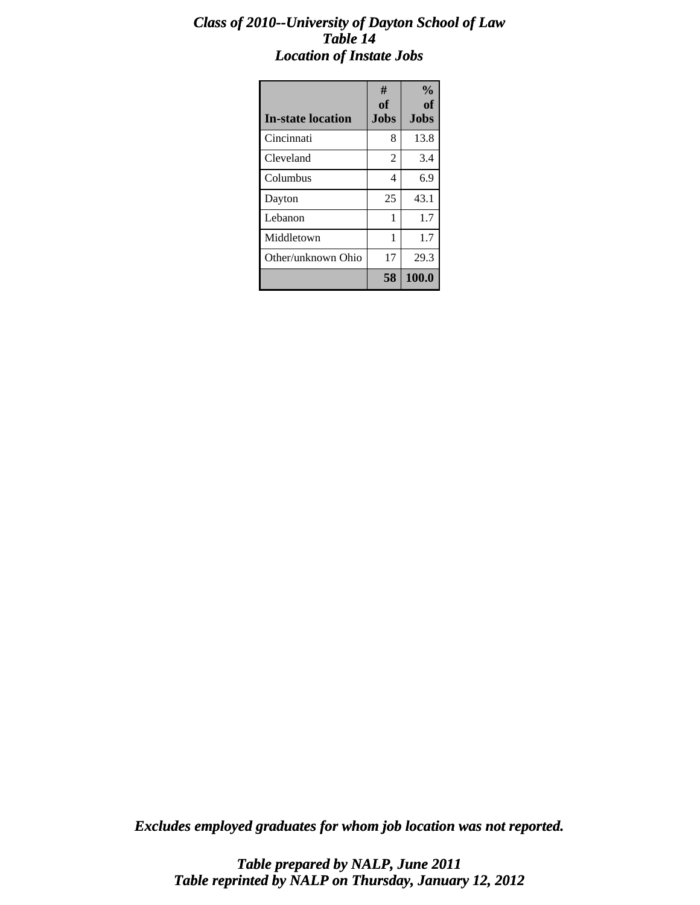# *Class of 2010--University of Dayton School of Law Table 14 Location of Instate Jobs*

| <b>In-state location</b> | #<br><b>of</b><br><b>Jobs</b> | $\frac{0}{0}$<br>of<br>Jobs |
|--------------------------|-------------------------------|-----------------------------|
| Cincinnati               | 8                             | 13.8                        |
| Cleveland                | 2                             | 3.4                         |
| Columbus                 | 4                             | 6.9                         |
| Dayton                   | 25                            | 43.1                        |
| Lebanon                  | 1                             | 1.7                         |
| Middletown               | 1                             | 1.7                         |
| Other/unknown Ohio       | 17                            | 29.3                        |
|                          | 58                            | 100.0                       |

*Excludes employed graduates for whom job location was not reported.*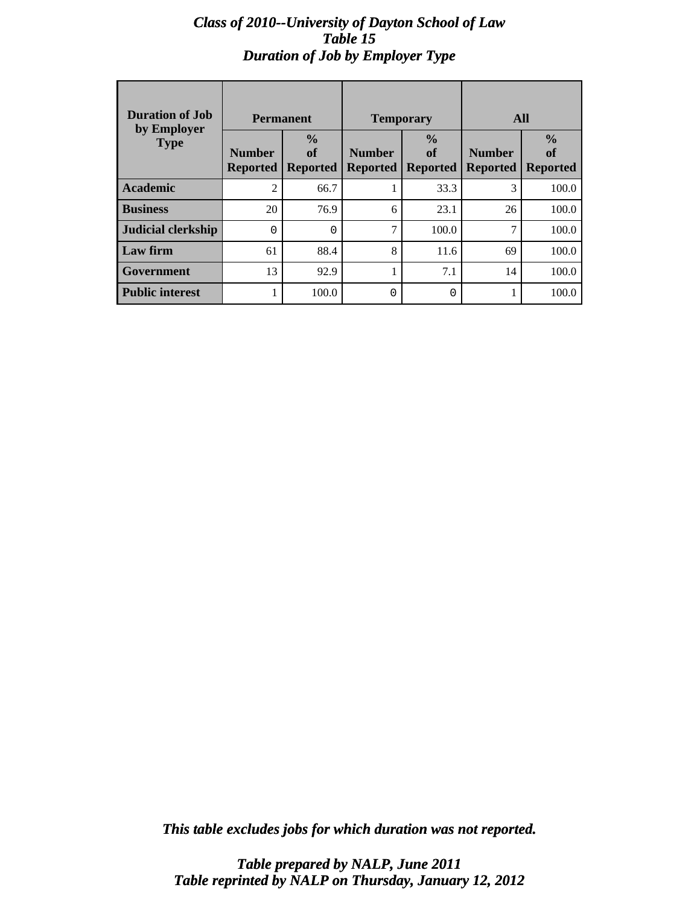# *Class of 2010--University of Dayton School of Law Table 15 Duration of Job by Employer Type*

| <b>Duration of Job</b><br>by Employer | <b>Permanent</b>                 |                                        |                           | <b>Temporary</b>                       | All                              |                                        |
|---------------------------------------|----------------------------------|----------------------------------------|---------------------------|----------------------------------------|----------------------------------|----------------------------------------|
| <b>Type</b>                           | <b>Number</b><br><b>Reported</b> | $\frac{0}{0}$<br>of<br><b>Reported</b> | <b>Number</b><br>Reported | $\frac{0}{0}$<br>of<br><b>Reported</b> | <b>Number</b><br><b>Reported</b> | $\frac{0}{0}$<br>of<br><b>Reported</b> |
| <b>Academic</b>                       | $\mathfrak{D}$                   | 66.7                                   |                           | 33.3                                   | 3                                | 100.0                                  |
| <b>Business</b>                       | 20                               | 76.9                                   | 6                         | 23.1                                   | 26                               | 100.0                                  |
| Judicial clerkship                    | 0                                | $\Omega$                               | $\mathcal{I}$             | 100.0                                  | 7                                | 100.0                                  |
| Law firm                              | 61                               | 88.4                                   | 8                         | 11.6                                   | 69                               | 100.0                                  |
| Government                            | 13                               | 92.9                                   | 1                         | 7.1                                    | 14                               | 100.0                                  |
| <b>Public interest</b>                |                                  | 100.0                                  | 0                         | 0                                      |                                  | 100.0                                  |

*This table excludes jobs for which duration was not reported.*